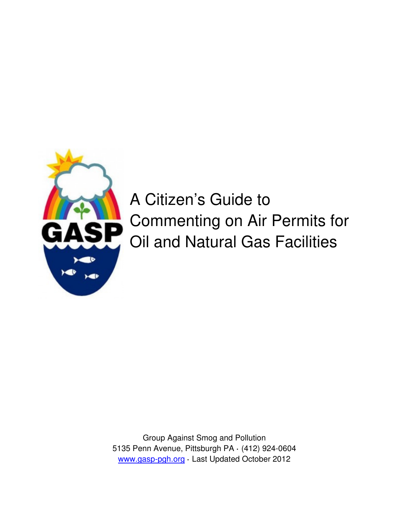

# A Citizen's Guide to Commenting on Air Permits for Oil and Natural Gas Facilities

Group Against Smog and Pollution 5135 Penn Avenue, Pittsburgh PA **·** (412) 924-0604 www.gasp-pgh.org **·** Last Updated October 2012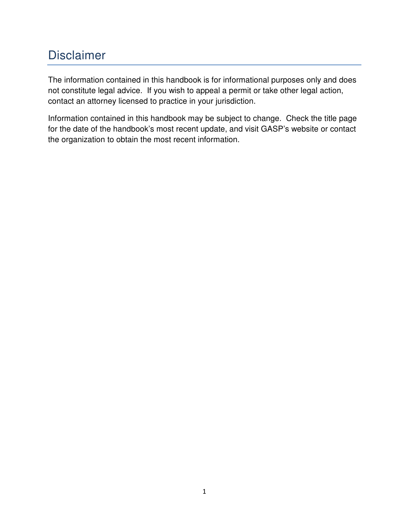## Disclaimer

The information contained in this handbook is for informational purposes only and does not constitute legal advice. If you wish to appeal a permit or take other legal action, contact an attorney licensed to practice in your jurisdiction.

Information contained in this handbook may be subject to change. Check the title page for the date of the handbook's most recent update, and visit GASP's website or contact the organization to obtain the most recent information.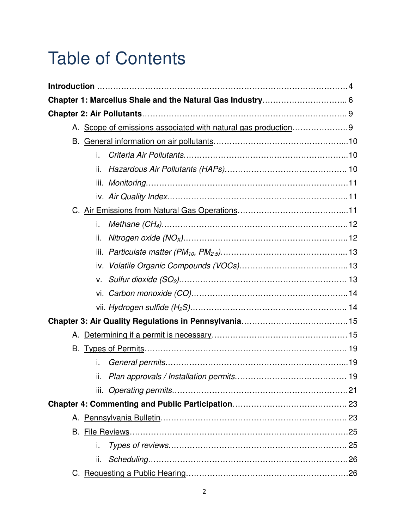# Table of Contents

|  |  | A. Scope of emissions associated with natural gas production9 |  |  |  |  |  |
|--|--|---------------------------------------------------------------|--|--|--|--|--|
|  |  |                                                               |  |  |  |  |  |
|  |  | i.                                                            |  |  |  |  |  |
|  |  | ii.                                                           |  |  |  |  |  |
|  |  |                                                               |  |  |  |  |  |
|  |  |                                                               |  |  |  |  |  |
|  |  |                                                               |  |  |  |  |  |
|  |  | i.                                                            |  |  |  |  |  |
|  |  | ii.                                                           |  |  |  |  |  |
|  |  |                                                               |  |  |  |  |  |
|  |  |                                                               |  |  |  |  |  |
|  |  | V.                                                            |  |  |  |  |  |
|  |  |                                                               |  |  |  |  |  |
|  |  |                                                               |  |  |  |  |  |
|  |  |                                                               |  |  |  |  |  |
|  |  |                                                               |  |  |  |  |  |
|  |  |                                                               |  |  |  |  |  |
|  |  | i.                                                            |  |  |  |  |  |
|  |  |                                                               |  |  |  |  |  |
|  |  |                                                               |  |  |  |  |  |
|  |  |                                                               |  |  |  |  |  |
|  |  |                                                               |  |  |  |  |  |
|  |  |                                                               |  |  |  |  |  |
|  |  | i.                                                            |  |  |  |  |  |
|  |  | ii.                                                           |  |  |  |  |  |
|  |  |                                                               |  |  |  |  |  |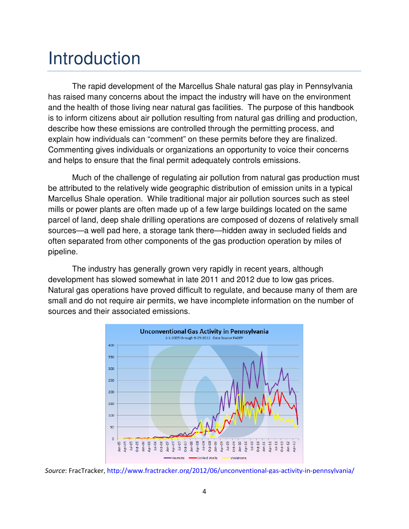## Introduction

The rapid development of the Marcellus Shale natural gas play in Pennsylvania has raised many concerns about the impact the industry will have on the environment and the health of those living near natural gas facilities. The purpose of this handbook is to inform citizens about air pollution resulting from natural gas drilling and production, describe how these emissions are controlled through the permitting process, and explain how individuals can "comment" on these permits before they are finalized. Commenting gives individuals or organizations an opportunity to voice their concerns and helps to ensure that the final permit adequately controls emissions.

Much of the challenge of regulating air pollution from natural gas production must be attributed to the relatively wide geographic distribution of emission units in a typical Marcellus Shale operation. While traditional major air pollution sources such as steel mills or power plants are often made up of a few large buildings located on the same parcel of land, deep shale drilling operations are composed of dozens of relatively small sources—a well pad here, a storage tank there—hidden away in secluded fields and often separated from other components of the gas production operation by miles of pipeline.

The industry has generally grown very rapidly in recent years, although development has slowed somewhat in late 2011 and 2012 due to low gas prices. Natural gas operations have proved difficult to regulate, and because many of them are small and do not require air permits, we have incomplete information on the number of sources and their associated emissions.



Source: FracTracker, http://www.fractracker.org/2012/06/unconventional-gas-activity-in-pennsylvania/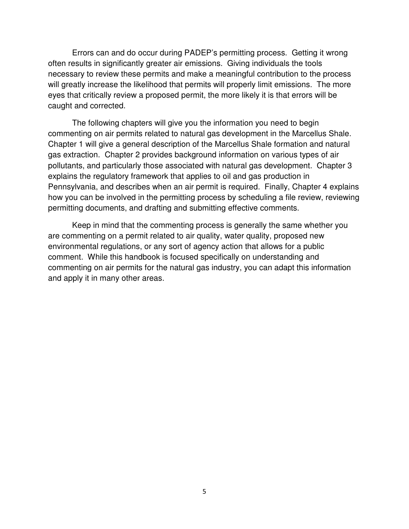Errors can and do occur during PADEP's permitting process. Getting it wrong often results in significantly greater air emissions. Giving individuals the tools necessary to review these permits and make a meaningful contribution to the process will greatly increase the likelihood that permits will properly limit emissions. The more eyes that critically review a proposed permit, the more likely it is that errors will be caught and corrected.

The following chapters will give you the information you need to begin commenting on air permits related to natural gas development in the Marcellus Shale. Chapter 1 will give a general description of the Marcellus Shale formation and natural gas extraction. Chapter 2 provides background information on various types of air pollutants, and particularly those associated with natural gas development. Chapter 3 explains the regulatory framework that applies to oil and gas production in Pennsylvania, and describes when an air permit is required. Finally, Chapter 4 explains how you can be involved in the permitting process by scheduling a file review, reviewing permitting documents, and drafting and submitting effective comments.

Keep in mind that the commenting process is generally the same whether you are commenting on a permit related to air quality, water quality, proposed new environmental regulations, or any sort of agency action that allows for a public comment. While this handbook is focused specifically on understanding and commenting on air permits for the natural gas industry, you can adapt this information and apply it in many other areas.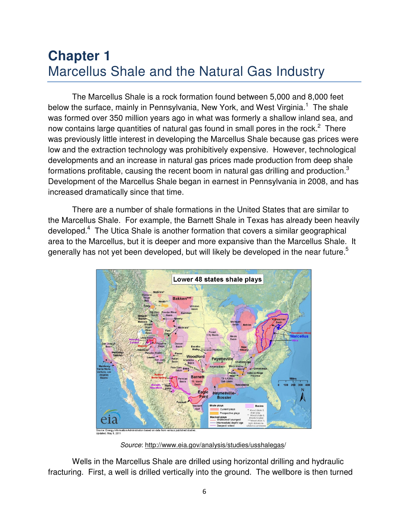## **Chapter 1** Marcellus Shale and the Natural Gas Industry

The Marcellus Shale is a rock formation found between 5,000 and 8,000 feet below the surface, mainly in Pennsylvania, New York, and West Virginia.<sup>1</sup> The shale was formed over 350 million years ago in what was formerly a shallow inland sea, and now contains large quantities of natural gas found in small pores in the rock. $^2$  There was previously little interest in developing the Marcellus Shale because gas prices were low and the extraction technology was prohibitively expensive. However, technological developments and an increase in natural gas prices made production from deep shale formations profitable, causing the recent boom in natural gas drilling and production.<sup>3</sup> Development of the Marcellus Shale began in earnest in Pennsylvania in 2008, and has increased dramatically since that time.

There are a number of shale formations in the United States that are similar to the Marcellus Shale. For example, the Barnett Shale in Texas has already been heavily developed.<sup>4</sup> The Utica Shale is another formation that covers a similar geographical area to the Marcellus, but it is deeper and more expansive than the Marcellus Shale. It generally has not yet been developed, but will likely be developed in the near future.<sup>5</sup>



Source: http://www.eia.gov/analysis/studies/usshalegas/

Wells in the Marcellus Shale are drilled using horizontal drilling and hydraulic fracturing. First, a well is drilled vertically into the ground. The wellbore is then turned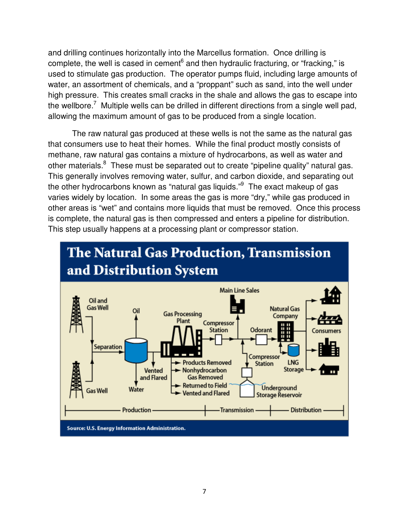and drilling continues horizontally into the Marcellus formation. Once drilling is complete, the well is cased in cement<sup>6</sup> and then hydraulic fracturing, or "fracking," is used to stimulate gas production. The operator pumps fluid, including large amounts of water, an assortment of chemicals, and a "proppant" such as sand, into the well under high pressure. This creates small cracks in the shale and allows the gas to escape into the wellbore.<sup>7</sup> Multiple wells can be drilled in different directions from a single well pad, allowing the maximum amount of gas to be produced from a single location.

The raw natural gas produced at these wells is not the same as the natural gas that consumers use to heat their homes. While the final product mostly consists of methane, raw natural gas contains a mixture of hydrocarbons, as well as water and other materials.<sup>8</sup> These must be separated out to create "pipeline quality" natural gas. This generally involves removing water, sulfur, and carbon dioxide, and separating out the other hydrocarbons known as "natural gas liquids." The exact makeup of gas varies widely by location. In some areas the gas is more "dry," while gas produced in other areas is "wet" and contains more liquids that must be removed. Once this process is complete, the natural gas is then compressed and enters a pipeline for distribution. This step usually happens at a processing plant or compressor station.



# **The Natural Gas Production, Transmission**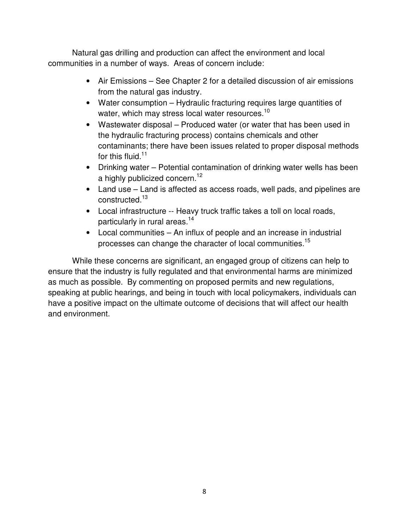Natural gas drilling and production can affect the environment and local communities in a number of ways. Areas of concern include:

- Air Emissions See Chapter 2 for a detailed discussion of air emissions from the natural gas industry.
- Water consumption Hydraulic fracturing requires large quantities of water, which may stress local water resources. $^{10}$
- Wastewater disposal Produced water (or water that has been used in the hydraulic fracturing process) contains chemicals and other contaminants; there have been issues related to proper disposal methods for this fluid. $^{11}$
- Drinking water Potential contamination of drinking water wells has been a highly publicized concern.<sup>12</sup>
- Land use Land is affected as access roads, well pads, and pipelines are constructed.<sup>13</sup>
- Local infrastructure -- Heavy truck traffic takes a toll on local roads, particularly in rural areas.<sup>14</sup>
- Local communities An influx of people and an increase in industrial processes can change the character of local communities.<sup>15</sup>

While these concerns are significant, an engaged group of citizens can help to ensure that the industry is fully regulated and that environmental harms are minimized as much as possible. By commenting on proposed permits and new regulations, speaking at public hearings, and being in touch with local policymakers, individuals can have a positive impact on the ultimate outcome of decisions that will affect our health and environment.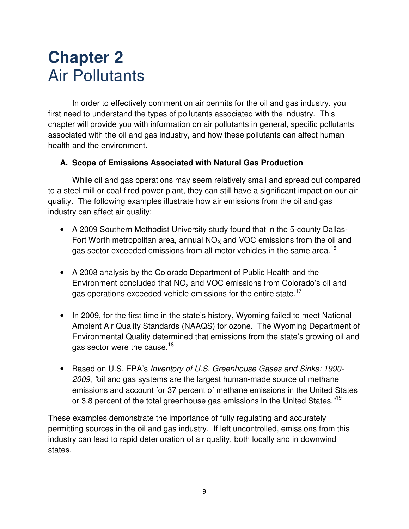## **Chapter 2** Air Pollutants

In order to effectively comment on air permits for the oil and gas industry, you first need to understand the types of pollutants associated with the industry. This chapter will provide you with information on air pollutants in general, specific pollutants associated with the oil and gas industry, and how these pollutants can affect human health and the environment.

#### **A. Scope of Emissions Associated with Natural Gas Production**

While oil and gas operations may seem relatively small and spread out compared to a steel mill or coal-fired power plant, they can still have a significant impact on our air quality. The following examples illustrate how air emissions from the oil and gas industry can affect air quality:

- A 2009 Southern Methodist University study found that in the 5-county Dallas-Fort Worth metropolitan area, annual  $NO<sub>x</sub>$  and VOC emissions from the oil and gas sector exceeded emissions from all motor vehicles in the same area.<sup>16</sup>
- A 2008 analysis by the Colorado Department of Public Health and the Environment concluded that  $NO<sub>x</sub>$  and VOC emissions from Colorado's oil and gas operations exceeded vehicle emissions for the entire state.<sup>17</sup>
- In 2009, for the first time in the state's history, Wyoming failed to meet National Ambient Air Quality Standards (NAAQS) for ozone. The Wyoming Department of Environmental Quality determined that emissions from the state's growing oil and gas sector were the cause.<sup>18</sup>
- Based on U.S. EPA's Inventory of U.S. Greenhouse Gases and Sinks: 1990- 2009, "oil and gas systems are the largest human-made source of methane emissions and account for 37 percent of methane emissions in the United States or 3.8 percent of the total greenhouse gas emissions in the United States."<sup>19</sup>

These examples demonstrate the importance of fully regulating and accurately permitting sources in the oil and gas industry. If left uncontrolled, emissions from this industry can lead to rapid deterioration of air quality, both locally and in downwind states.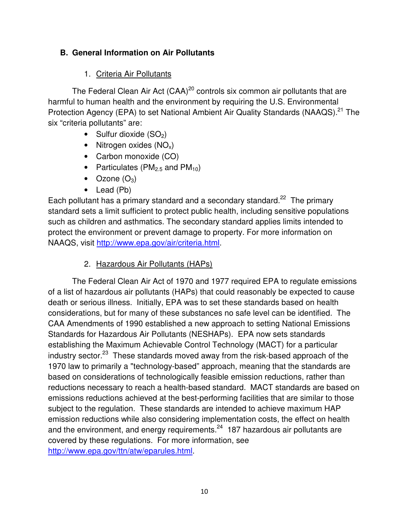#### **B. General Information on Air Pollutants**

#### 1. Criteria Air Pollutants

The Federal Clean Air Act  $(CAA)^{20}$  controls six common air pollutants that are harmful to human health and the environment by requiring the U.S. Environmental Protection Agency (EPA) to set National Ambient Air Quality Standards (NAAQS).<sup>21</sup> The six "criteria pollutants" are:

- Sulfur dioxide  $(SO<sub>2</sub>)$
- Nitrogen oxides  $(NO_x)$
- Carbon monoxide (CO)
- Particulates ( $PM<sub>2.5</sub>$  and  $PM<sub>10</sub>$ )
- Ozone  $(O_3)$
- Lead (Pb)

Each pollutant has a primary standard and a secondary standard.<sup>22</sup> The primary standard sets a limit sufficient to protect public health, including sensitive populations such as children and asthmatics. The secondary standard applies limits intended to protect the environment or prevent damage to property. For more information on NAAQS, visit http://www.epa.gov/air/criteria.html.

#### 2. Hazardous Air Pollutants (HAPs)

The Federal Clean Air Act of 1970 and 1977 required EPA to regulate emissions of a list of hazardous air pollutants (HAPs) that could reasonably be expected to cause death or serious illness. Initially, EPA was to set these standards based on health considerations, but for many of these substances no safe level can be identified. The CAA Amendments of 1990 established a new approach to setting National Emissions Standards for Hazardous Air Pollutants (NESHAPs). EPA now sets standards establishing the Maximum Achievable Control Technology (MACT) for a particular industry sector.<sup>23</sup> These standards moved away from the risk-based approach of the 1970 law to primarily a "technology-based" approach, meaning that the standards are based on considerations of technologically feasible emission reductions, rather than reductions necessary to reach a health-based standard. MACT standards are based on emissions reductions achieved at the best-performing facilities that are similar to those subject to the regulation. These standards are intended to achieve maximum HAP emission reductions while also considering implementation costs, the effect on health and the environment, and energy requirements. $24$  187 hazardous air pollutants are covered by these regulations. For more information, see http://www.epa.gov/ttn/atw/eparules.html.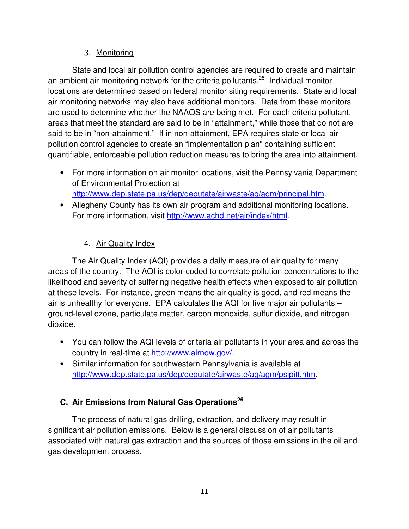#### 3. Monitoring

State and local air pollution control agencies are required to create and maintain an ambient air monitoring network for the criteria pollutants.<sup>25</sup> Individual monitor locations are determined based on federal monitor siting requirements. State and local air monitoring networks may also have additional monitors. Data from these monitors are used to determine whether the NAAQS are being met. For each criteria pollutant, areas that meet the standard are said to be in "attainment," while those that do not are said to be in "non-attainment." If in non-attainment, EPA requires state or local air pollution control agencies to create an "implementation plan" containing sufficient quantifiable, enforceable pollution reduction measures to bring the area into attainment.

- For more information on air monitor locations, visit the Pennsylvania Department of Environmental Protection at http://www.dep.state.pa.us/dep/deputate/airwaste/aq/aqm/principal.htm.
- Allegheny County has its own air program and additional monitoring locations. For more information, visit http://www.achd.net/air/index/html.

#### 4. Air Quality Index

The Air Quality Index (AQI) provides a daily measure of air quality for many areas of the country. The AQI is color-coded to correlate pollution concentrations to the likelihood and severity of suffering negative health effects when exposed to air pollution at these levels. For instance, green means the air quality is good, and red means the air is unhealthy for everyone. EPA calculates the AQI for five major air pollutants – ground-level ozone, particulate matter, carbon monoxide, sulfur dioxide, and nitrogen dioxide.

- You can follow the AQI levels of criteria air pollutants in your area and across the country in real-time at http://www.airnow.gov/.
- Similar information for southwestern Pennsylvania is available at http://www.dep.state.pa.us/dep/deputate/airwaste/ag/agm/psipitt.htm.

#### **C. Air Emissions from Natural Gas Operations<sup>26</sup>**

The process of natural gas drilling, extraction, and delivery may result in significant air pollution emissions. Below is a general discussion of air pollutants associated with natural gas extraction and the sources of those emissions in the oil and gas development process.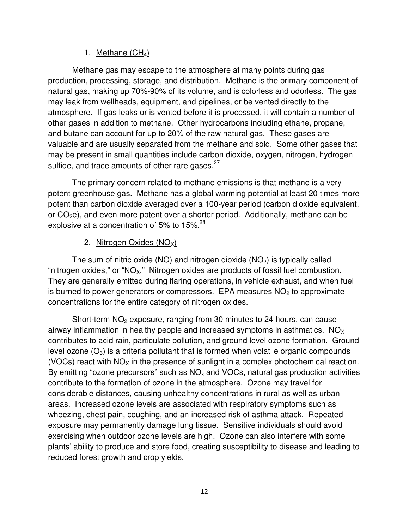#### 1. Methane  $(CH_4)$

Methane gas may escape to the atmosphere at many points during gas production, processing, storage, and distribution. Methane is the primary component of natural gas, making up 70%-90% of its volume, and is colorless and odorless. The gas may leak from wellheads, equipment, and pipelines, or be vented directly to the atmosphere. If gas leaks or is vented before it is processed, it will contain a number of other gases in addition to methane. Other hydrocarbons including ethane, propane, and butane can account for up to 20% of the raw natural gas. These gases are valuable and are usually separated from the methane and sold. Some other gases that may be present in small quantities include carbon dioxide, oxygen, nitrogen, hydrogen sulfide, and trace amounts of other rare gases.<sup>27</sup>

The primary concern related to methane emissions is that methane is a very potent greenhouse gas. Methane has a global warming potential at least 20 times more potent than carbon dioxide averaged over a 100-year period (carbon dioxide equivalent, or  $CO<sub>2</sub>e$ ), and even more potent over a shorter period. Additionally, methane can be explosive at a concentration of 5% to 15%. $^{28}$ 

#### 2. Nitrogen Oxides  $(NO<sub>X</sub>)$

The sum of nitric oxide (NO) and nitrogen dioxide (NO<sub>2</sub>) is typically called "nitrogen oxides," or "NO<sub>x</sub>." Nitrogen oxides are products of fossil fuel combustion. They are generally emitted during flaring operations, in vehicle exhaust, and when fuel is burned to power generators or compressors. EPA measures  $NO<sub>2</sub>$  to approximate concentrations for the entire category of nitrogen oxides.

Short-term  $NO<sub>2</sub>$  exposure, ranging from 30 minutes to 24 hours, can cause airway inflammation in healthy people and increased symptoms in asthmatics.  $NO<sub>X</sub>$ contributes to acid rain, particulate pollution, and ground level ozone formation. Ground level ozone  $(O_3)$  is a criteria pollutant that is formed when volatile organic compounds (VOCs) react with  $NO<sub>x</sub>$  in the presence of sunlight in a complex photochemical reaction. By emitting "ozone precursors" such as  $NO<sub>x</sub>$  and VOCs, natural gas production activities contribute to the formation of ozone in the atmosphere. Ozone may travel for considerable distances, causing unhealthy concentrations in rural as well as urban areas. Increased ozone levels are associated with respiratory symptoms such as wheezing, chest pain, coughing, and an increased risk of asthma attack. Repeated exposure may permanently damage lung tissue. Sensitive individuals should avoid exercising when outdoor ozone levels are high. Ozone can also interfere with some plants' ability to produce and store food, creating susceptibility to disease and leading to reduced forest growth and crop yields.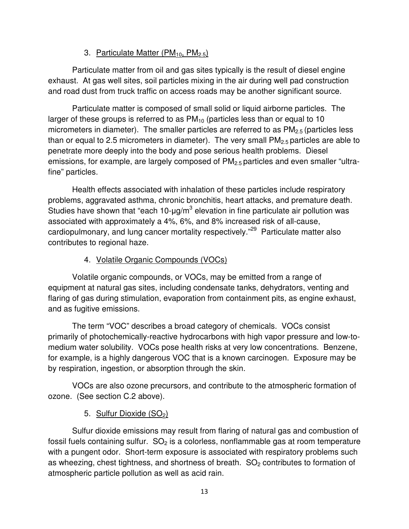#### 3. Particulate Matter  $(PM_{10}, PM_{2.5})$

Particulate matter from oil and gas sites typically is the result of diesel engine exhaust. At gas well sites, soil particles mixing in the air during well pad construction and road dust from truck traffic on access roads may be another significant source.

Particulate matter is composed of small solid or liquid airborne particles. The larger of these groups is referred to as  $PM_{10}$  (particles less than or equal to 10 micrometers in diameter). The smaller particles are referred to as  $PM<sub>2.5</sub>$  (particles less than or equal to 2.5 micrometers in diameter). The very small  $PM<sub>2.5</sub>$  particles are able to penetrate more deeply into the body and pose serious health problems. Diesel emissions, for example, are largely composed of PM<sub>2.5</sub> particles and even smaller "ultrafine" particles.

Health effects associated with inhalation of these particles include respiratory problems, aggravated asthma, chronic bronchitis, heart attacks, and premature death. Studies have shown that "each 10- $\mu$ g/m $^3$  elevation in fine particulate air pollution was associated with approximately a 4%, 6%, and 8% increased risk of all-cause, cardiopulmonary, and lung cancer mortality respectively."<sup>29</sup> Particulate matter also contributes to regional haze.

#### 4. Volatile Organic Compounds (VOCs)

Volatile organic compounds, or VOCs, may be emitted from a range of equipment at natural gas sites, including condensate tanks, dehydrators, venting and flaring of gas during stimulation, evaporation from containment pits, as engine exhaust, and as fugitive emissions.

The term "VOC" describes a broad category of chemicals. VOCs consist primarily of photochemically-reactive hydrocarbons with high vapor pressure and low-tomedium water solubility. VOCs pose health risks at very low concentrations. Benzene, for example, is a highly dangerous VOC that is a known carcinogen. Exposure may be by respiration, ingestion, or absorption through the skin.

VOCs are also ozone precursors, and contribute to the atmospheric formation of ozone. (See section C.2 above).

#### 5. Sulfur Dioxide  $(SO<sub>2</sub>)$

Sulfur dioxide emissions may result from flaring of natural gas and combustion of fossil fuels containing sulfur.  $SO<sub>2</sub>$  is a colorless, nonflammable gas at room temperature with a pungent odor. Short-term exposure is associated with respiratory problems such as wheezing, chest tightness, and shortness of breath.  $SO<sub>2</sub>$  contributes to formation of atmospheric particle pollution as well as acid rain.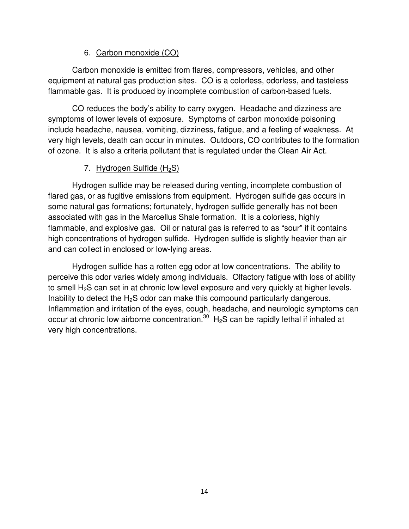#### 6. Carbon monoxide (CO)

Carbon monoxide is emitted from flares, compressors, vehicles, and other equipment at natural gas production sites. CO is a colorless, odorless, and tasteless flammable gas. It is produced by incomplete combustion of carbon-based fuels.

CO reduces the body's ability to carry oxygen. Headache and dizziness are symptoms of lower levels of exposure. Symptoms of carbon monoxide poisoning include headache, nausea, vomiting, dizziness, fatigue, and a feeling of weakness. At very high levels, death can occur in minutes. Outdoors, CO contributes to the formation of ozone. It is also a criteria pollutant that is regulated under the Clean Air Act.

#### 7. Hydrogen Sulfide  $(H_2S)$

Hydrogen sulfide may be released during venting, incomplete combustion of flared gas, or as fugitive emissions from equipment. Hydrogen sulfide gas occurs in some natural gas formations; fortunately, hydrogen sulfide generally has not been associated with gas in the Marcellus Shale formation. It is a colorless, highly flammable, and explosive gas. Oil or natural gas is referred to as "sour" if it contains high concentrations of hydrogen sulfide. Hydrogen sulfide is slightly heavier than air and can collect in enclosed or low-lying areas.

Hydrogen sulfide has a rotten egg odor at low concentrations. The ability to perceive this odor varies widely among individuals. Olfactory fatigue with loss of ability to smell  $H_2S$  can set in at chronic low level exposure and very quickly at higher levels. Inability to detect the  $H_2S$  odor can make this compound particularly dangerous. Inflammation and irritation of the eyes, cough, headache, and neurologic symptoms can occur at chronic low airborne concentration.<sup>30</sup>  $H_2S$  can be rapidly lethal if inhaled at very high concentrations.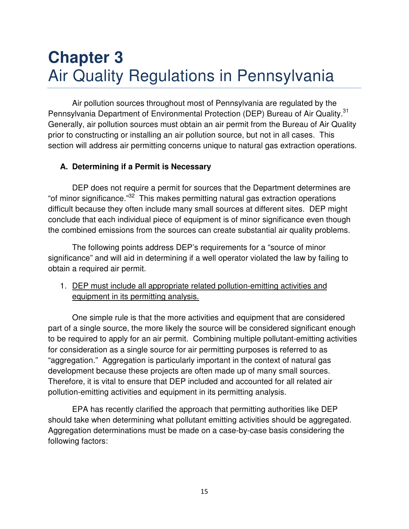## **Chapter 3**  Air Quality Regulations in Pennsylvania

Air pollution sources throughout most of Pennsylvania are regulated by the Pennsylvania Department of Environmental Protection (DEP) Bureau of Air Quality.<sup>31</sup> Generally, air pollution sources must obtain an air permit from the Bureau of Air Quality prior to constructing or installing an air pollution source, but not in all cases. This section will address air permitting concerns unique to natural gas extraction operations.

#### **A. Determining if a Permit is Necessary**

DEP does not require a permit for sources that the Department determines are "of minor significance."<sup>32</sup> This makes permitting natural gas extraction operations difficult because they often include many small sources at different sites. DEP might conclude that each individual piece of equipment is of minor significance even though the combined emissions from the sources can create substantial air quality problems.

The following points address DEP's requirements for a "source of minor significance" and will aid in determining if a well operator violated the law by failing to obtain a required air permit.

1. DEP must include all appropriate related pollution-emitting activities and equipment in its permitting analysis.

One simple rule is that the more activities and equipment that are considered part of a single source, the more likely the source will be considered significant enough to be required to apply for an air permit. Combining multiple pollutant-emitting activities for consideration as a single source for air permitting purposes is referred to as "aggregation." Aggregation is particularly important in the context of natural gas development because these projects are often made up of many small sources. Therefore, it is vital to ensure that DEP included and accounted for all related air pollution-emitting activities and equipment in its permitting analysis.

EPA has recently clarified the approach that permitting authorities like DEP should take when determining what pollutant emitting activities should be aggregated. Aggregation determinations must be made on a case-by-case basis considering the following factors: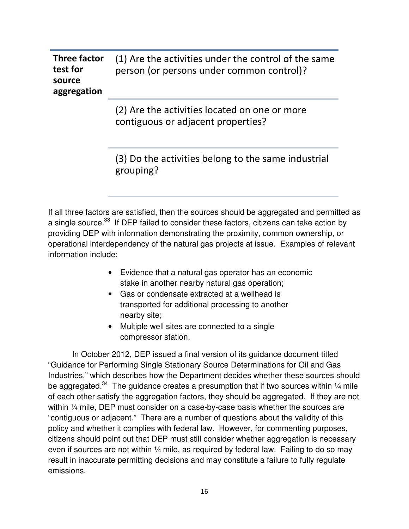| Three factor          | (1) Are the activities under the control of the same |
|-----------------------|------------------------------------------------------|
| test for              | person (or persons under common control)?            |
| source<br>aggregation |                                                      |

(2) Are the activities located on one or more contiguous or adjacent properties?

(3) Do the activities belong to the same industrial grouping?

If all three factors are satisfied, then the sources should be aggregated and permitted as a single source.<sup>33</sup> If DEP failed to consider these factors, citizens can take action by providing DEP with information demonstrating the proximity, common ownership, or operational interdependency of the natural gas projects at issue. Examples of relevant information include:

- Evidence that a natural gas operator has an economic stake in another nearby natural gas operation;
- Gas or condensate extracted at a wellhead is transported for additional processing to another nearby site;
- Multiple well sites are connected to a single compressor station.

In October 2012, DEP issued a final version of its guidance document titled "Guidance for Performing Single Stationary Source Determinations for Oil and Gas Industries," which describes how the Department decides whether these sources should be aggregated.<sup>34</sup> The guidance creates a presumption that if two sources within  $\frac{1}{4}$  mile of each other satisfy the aggregation factors, they should be aggregated. If they are not within 1/4 mile, DEP must consider on a case-by-case basis whether the sources are "contiguous or adjacent." There are a number of questions about the validity of this policy and whether it complies with federal law. However, for commenting purposes, citizens should point out that DEP must still consider whether aggregation is necessary even if sources are not within  $\frac{1}{4}$  mile, as required by federal law. Failing to do so may result in inaccurate permitting decisions and may constitute a failure to fully regulate emissions.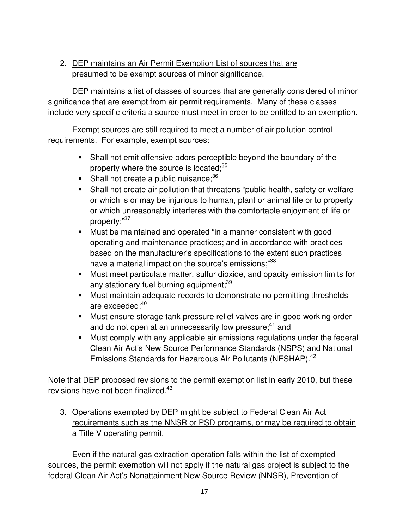#### 2. DEP maintains an Air Permit Exemption List of sources that are presumed to be exempt sources of minor significance.

DEP maintains a list of classes of sources that are generally considered of minor significance that are exempt from air permit requirements. Many of these classes include very specific criteria a source must meet in order to be entitled to an exemption.

Exempt sources are still required to meet a number of air pollution control requirements. For example, exempt sources:

- Shall not emit offensive odors perceptible beyond the boundary of the property where the source is located;<sup>35</sup>
- Shall not create a public nuisance; $36$
- Shall not create air pollution that threatens "public health, safety or welfare or which is or may be injurious to human, plant or animal life or to property or which unreasonably interferes with the comfortable enjoyment of life or property;"37
- Must be maintained and operated "in a manner consistent with good operating and maintenance practices; and in accordance with practices based on the manufacturer's specifications to the extent such practices have a material impact on the source's emissions;<sup>38</sup>
- Must meet particulate matter, sulfur dioxide, and opacity emission limits for any stationary fuel burning equipment;<sup>39</sup>
- Must maintain adequate records to demonstrate no permitting thresholds are exceeded:<sup>40</sup>
- Must ensure storage tank pressure relief valves are in good working order and do not open at an unnecessarily low pressure:<sup>41</sup> and
- **Must comply with any applicable air emissions regulations under the federal** Clean Air Act's New Source Performance Standards (NSPS) and National Emissions Standards for Hazardous Air Pollutants (NESHAP).<sup>42</sup>

Note that DEP proposed revisions to the permit exemption list in early 2010, but these revisions have not been finalized.<sup>43</sup>

3. Operations exempted by DEP might be subject to Federal Clean Air Act requirements such as the NNSR or PSD programs, or may be required to obtain a Title V operating permit.

Even if the natural gas extraction operation falls within the list of exempted sources, the permit exemption will not apply if the natural gas project is subject to the federal Clean Air Act's Nonattainment New Source Review (NNSR), Prevention of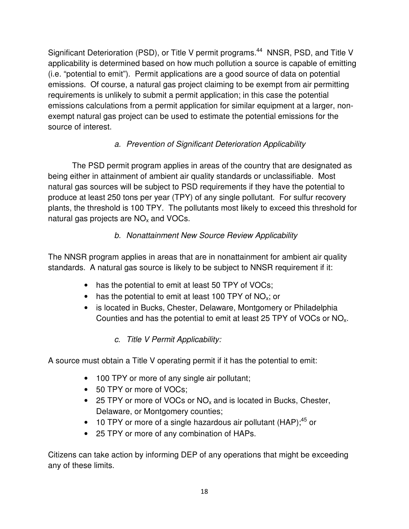Significant Deterioration (PSD), or Title V permit programs.<sup>44</sup> NNSR, PSD, and Title V applicability is determined based on how much pollution a source is capable of emitting (i.e. "potential to emit"). Permit applications are a good source of data on potential emissions. Of course, a natural gas project claiming to be exempt from air permitting requirements is unlikely to submit a permit application; in this case the potential emissions calculations from a permit application for similar equipment at a larger, nonexempt natural gas project can be used to estimate the potential emissions for the source of interest.

#### a. Prevention of Significant Deterioration Applicability

The PSD permit program applies in areas of the country that are designated as being either in attainment of ambient air quality standards or unclassifiable. Most natural gas sources will be subject to PSD requirements if they have the potential to produce at least 250 tons per year (TPY) of any single pollutant. For sulfur recovery plants, the threshold is 100 TPY. The pollutants most likely to exceed this threshold for natural gas projects are  $NO<sub>x</sub>$  and VOCs.

#### b. Nonattainment New Source Review Applicability

The NNSR program applies in areas that are in nonattainment for ambient air quality standards. A natural gas source is likely to be subject to NNSR requirement if it:

- has the potential to emit at least 50 TPY of VOCs;
- has the potential to emit at least 100 TPY of  $NO<sub>x</sub>$ ; or
- is located in Bucks, Chester, Delaware, Montgomery or Philadelphia Counties and has the potential to emit at least 25 TPY of VOCs or  $NO<sub>x</sub>$ .

#### c. Title V Permit Applicability:

A source must obtain a Title V operating permit if it has the potential to emit:

- 100 TPY or more of any single air pollutant;
- 50 TPY or more of VOCs;
- 25 TPY or more of VOCs or  $NO<sub>x</sub>$  and is located in Bucks, Chester, Delaware, or Montgomery counties;
- 10 TPY or more of a single hazardous air pollutant  $(HAP)$ ;<sup>45</sup> or
- 25 TPY or more of any combination of HAPs.

Citizens can take action by informing DEP of any operations that might be exceeding any of these limits.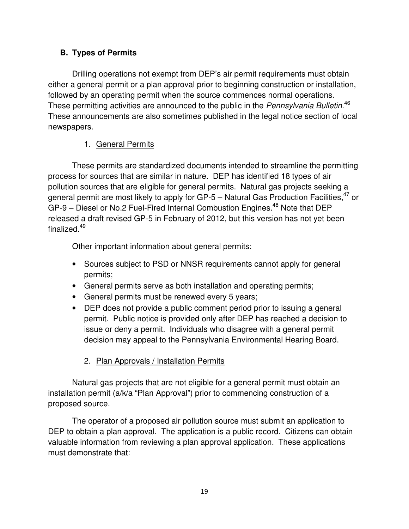#### **B. Types of Permits**

Drilling operations not exempt from DEP's air permit requirements must obtain either a general permit or a plan approval prior to beginning construction or installation, followed by an operating permit when the source commences normal operations. These permitting activities are announced to the public in the Pennsylvania Bulletin.<sup>46</sup> These announcements are also sometimes published in the legal notice section of local newspapers.

#### 1. General Permits

These permits are standardized documents intended to streamline the permitting process for sources that are similar in nature. DEP has identified 18 types of air pollution sources that are eligible for general permits. Natural gas projects seeking a general permit are most likely to apply for GP-5 – Natural Gas Production Facilities,  $47$  or  $GP-9$  – Diesel or No.2 Fuel-Fired Internal Combustion Engines.<sup>48</sup> Note that DEP released a draft revised GP-5 in February of 2012, but this version has not yet been finalized.<sup>49</sup>

Other important information about general permits:

- Sources subject to PSD or NNSR requirements cannot apply for general permits;
- General permits serve as both installation and operating permits;
- General permits must be renewed every 5 years;
- DEP does not provide a public comment period prior to issuing a general permit. Public notice is provided only after DEP has reached a decision to issue or deny a permit. Individuals who disagree with a general permit decision may appeal to the Pennsylvania Environmental Hearing Board.

#### 2. Plan Approvals / Installation Permits

Natural gas projects that are not eligible for a general permit must obtain an installation permit (a/k/a "Plan Approval") prior to commencing construction of a proposed source.

The operator of a proposed air pollution source must submit an application to DEP to obtain a plan approval. The application is a public record. Citizens can obtain valuable information from reviewing a plan approval application. These applications must demonstrate that: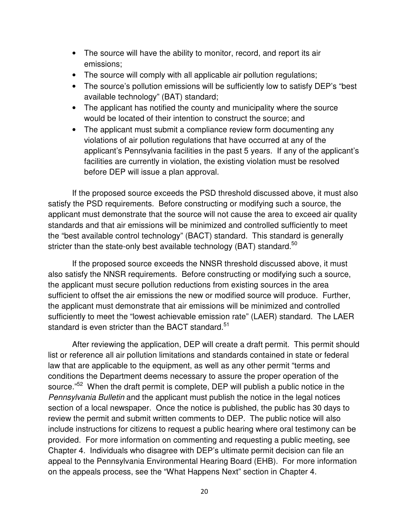- The source will have the ability to monitor, record, and report its air emissions;
- The source will comply with all applicable air pollution regulations;
- The source's pollution emissions will be sufficiently low to satisfy DEP's "best available technology" (BAT) standard;
- The applicant has notified the county and municipality where the source would be located of their intention to construct the source; and
- The applicant must submit a compliance review form documenting any violations of air pollution regulations that have occurred at any of the applicant's Pennsylvania facilities in the past 5 years. If any of the applicant's facilities are currently in violation, the existing violation must be resolved before DEP will issue a plan approval.

If the proposed source exceeds the PSD threshold discussed above, it must also satisfy the PSD requirements. Before constructing or modifying such a source, the applicant must demonstrate that the source will not cause the area to exceed air quality standards and that air emissions will be minimized and controlled sufficiently to meet the "best available control technology" (BACT) standard. This standard is generally stricter than the state-only best available technology (BAT) standard.<sup>50</sup>

If the proposed source exceeds the NNSR threshold discussed above, it must also satisfy the NNSR requirements. Before constructing or modifying such a source, the applicant must secure pollution reductions from existing sources in the area sufficient to offset the air emissions the new or modified source will produce. Further, the applicant must demonstrate that air emissions will be minimized and controlled sufficiently to meet the "lowest achievable emission rate" (LAER) standard. The LAER standard is even stricter than the BACT standard.<sup>51</sup>

After reviewing the application, DEP will create a draft permit. This permit should list or reference all air pollution limitations and standards contained in state or federal law that are applicable to the equipment, as well as any other permit "terms and conditions the Department deems necessary to assure the proper operation of the source."<sup>52</sup> When the draft permit is complete, DEP will publish a public notice in the Pennsylvania Bulletin and the applicant must publish the notice in the legal notices section of a local newspaper. Once the notice is published, the public has 30 days to review the permit and submit written comments to DEP. The public notice will also include instructions for citizens to request a public hearing where oral testimony can be provided. For more information on commenting and requesting a public meeting, see Chapter 4. Individuals who disagree with DEP's ultimate permit decision can file an appeal to the Pennsylvania Environmental Hearing Board (EHB). For more information on the appeals process, see the "What Happens Next" section in Chapter 4.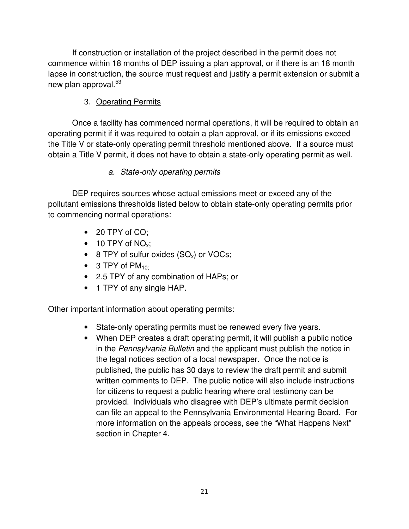If construction or installation of the project described in the permit does not commence within 18 months of DEP issuing a plan approval, or if there is an 18 month lapse in construction, the source must request and justify a permit extension or submit a new plan approval.<sup>53</sup>

#### 3. Operating Permits

Once a facility has commenced normal operations, it will be required to obtain an operating permit if it was required to obtain a plan approval, or if its emissions exceed the Title V or state-only operating permit threshold mentioned above. If a source must obtain a Title V permit, it does not have to obtain a state-only operating permit as well.

#### a. State-only operating permits

DEP requires sources whose actual emissions meet or exceed any of the pollutant emissions thresholds listed below to obtain state-only operating permits prior to commencing normal operations:

- 20 TPY of CO:
- $\bullet$  10 TPY of NO<sub>x</sub>;
- 8 TPY of sulfur oxides  $(SO_x)$  or VOCs;
- $\bullet$  3 TPY of PM<sub>10:</sub>
- 2.5 TPY of any combination of HAPs; or
- 1 TPY of any single HAP.

Other important information about operating permits:

- State-only operating permits must be renewed every five years.
- When DEP creates a draft operating permit, it will publish a public notice in the Pennsylvania Bulletin and the applicant must publish the notice in the legal notices section of a local newspaper. Once the notice is published, the public has 30 days to review the draft permit and submit written comments to DEP. The public notice will also include instructions for citizens to request a public hearing where oral testimony can be provided. Individuals who disagree with DEP's ultimate permit decision can file an appeal to the Pennsylvania Environmental Hearing Board. For more information on the appeals process, see the "What Happens Next" section in Chapter 4.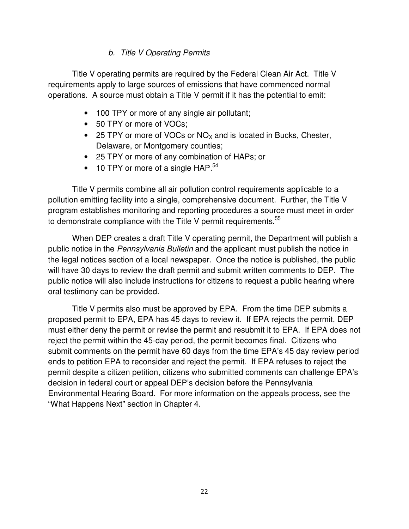#### b. Title V Operating Permits

Title V operating permits are required by the Federal Clean Air Act. Title V requirements apply to large sources of emissions that have commenced normal operations. A source must obtain a Title V permit if it has the potential to emit:

- 100 TPY or more of any single air pollutant;
- 50 TPY or more of VOCs;
- 25 TPY or more of VOCs or  $NO<sub>X</sub>$  and is located in Bucks, Chester, Delaware, or Montgomery counties;
- 25 TPY or more of any combination of HAPs; or
- 10 TPY or more of a single  $HAP.^{54}$

Title V permits combine all air pollution control requirements applicable to a pollution emitting facility into a single, comprehensive document. Further, the Title V program establishes monitoring and reporting procedures a source must meet in order to demonstrate compliance with the Title V permit requirements.<sup>55</sup>

When DEP creates a draft Title V operating permit, the Department will publish a public notice in the Pennsylvania Bulletin and the applicant must publish the notice in the legal notices section of a local newspaper. Once the notice is published, the public will have 30 days to review the draft permit and submit written comments to DEP. The public notice will also include instructions for citizens to request a public hearing where oral testimony can be provided.

Title V permits also must be approved by EPA. From the time DEP submits a proposed permit to EPA, EPA has 45 days to review it. If EPA rejects the permit, DEP must either deny the permit or revise the permit and resubmit it to EPA. If EPA does not reject the permit within the 45-day period, the permit becomes final. Citizens who submit comments on the permit have 60 days from the time EPA's 45 day review period ends to petition EPA to reconsider and reject the permit. If EPA refuses to reject the permit despite a citizen petition, citizens who submitted comments can challenge EPA's decision in federal court or appeal DEP's decision before the Pennsylvania Environmental Hearing Board. For more information on the appeals process, see the "What Happens Next" section in Chapter 4.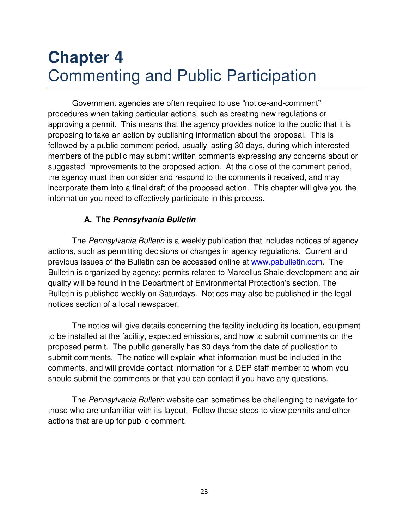## **Chapter 4**  Commenting and Public Participation

Government agencies are often required to use "notice-and-comment" procedures when taking particular actions, such as creating new regulations or approving a permit. This means that the agency provides notice to the public that it is proposing to take an action by publishing information about the proposal. This is followed by a public comment period, usually lasting 30 days, during which interested members of the public may submit written comments expressing any concerns about or suggested improvements to the proposed action. At the close of the comment period, the agency must then consider and respond to the comments it received, and may incorporate them into a final draft of the proposed action. This chapter will give you the information you need to effectively participate in this process.

#### **A. The Pennsylvania Bulletin**

The Pennsylvania Bulletin is a weekly publication that includes notices of agency actions, such as permitting decisions or changes in agency regulations. Current and previous issues of the Bulletin can be accessed online at www.pabulletin.com. The Bulletin is organized by agency; permits related to Marcellus Shale development and air quality will be found in the Department of Environmental Protection's section. The Bulletin is published weekly on Saturdays. Notices may also be published in the legal notices section of a local newspaper.

The notice will give details concerning the facility including its location, equipment to be installed at the facility, expected emissions, and how to submit comments on the proposed permit. The public generally has 30 days from the date of publication to submit comments. The notice will explain what information must be included in the comments, and will provide contact information for a DEP staff member to whom you should submit the comments or that you can contact if you have any questions.

The Pennsylvania Bulletin website can sometimes be challenging to navigate for those who are unfamiliar with its layout. Follow these steps to view permits and other actions that are up for public comment.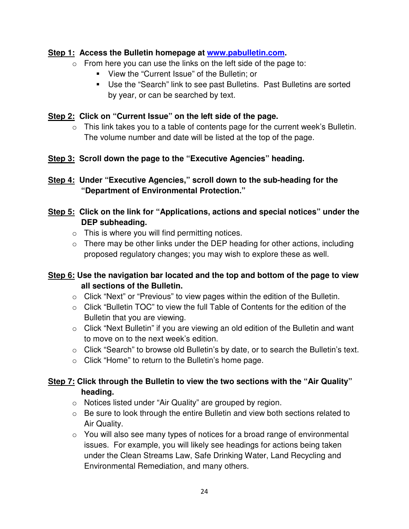#### **Step 1: Access the Bulletin homepage at www.pabulletin.com.**

- $\circ$  From here you can use the links on the left side of the page to:
	- View the "Current Issue" of the Bulletin; or
	- Use the "Search" link to see past Bulletins. Past Bulletins are sorted by year, or can be searched by text.

#### **Step 2: Click on "Current Issue" on the left side of the page.**

- $\circ$  This link takes you to a table of contents page for the current week's Bulletin. The volume number and date will be listed at the top of the page.
- **Step 3: Scroll down the page to the "Executive Agencies" heading.**

**Step 4: Under "Executive Agencies," scroll down to the sub-heading for the "Department of Environmental Protection."** 

#### **Step 5: Click on the link for "Applications, actions and special notices" under the DEP subheading.**

- $\circ$  This is where you will find permitting notices.
- $\circ$  There may be other links under the DEP heading for other actions, including proposed regulatory changes; you may wish to explore these as well.

#### **Step 6: Use the navigation bar located and the top and bottom of the page to view all sections of the Bulletin.**

- o Click "Next" or "Previous" to view pages within the edition of the Bulletin.
- o Click "Bulletin TOC" to view the full Table of Contents for the edition of the Bulletin that you are viewing.
- o Click "Next Bulletin" if you are viewing an old edition of the Bulletin and want to move on to the next week's edition.
- o Click "Search" to browse old Bulletin's by date, or to search the Bulletin's text.
- o Click "Home" to return to the Bulletin's home page.

#### **Step 7: Click through the Bulletin to view the two sections with the "Air Quality" heading.**

- o Notices listed under "Air Quality" are grouped by region.
- o Be sure to look through the entire Bulletin and view both sections related to Air Quality.
- $\circ$  You will also see many types of notices for a broad range of environmental issues. For example, you will likely see headings for actions being taken under the Clean Streams Law, Safe Drinking Water, Land Recycling and Environmental Remediation, and many others.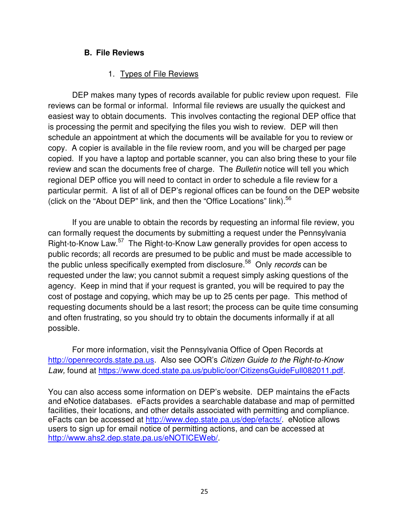#### **B. File Reviews**

#### 1. Types of File Reviews

DEP makes many types of records available for public review upon request. File reviews can be formal or informal. Informal file reviews are usually the quickest and easiest way to obtain documents. This involves contacting the regional DEP office that is processing the permit and specifying the files you wish to review. DEP will then schedule an appointment at which the documents will be available for you to review or copy. A copier is available in the file review room, and you will be charged per page copied. If you have a laptop and portable scanner, you can also bring these to your file review and scan the documents free of charge. The Bulletin notice will tell you which regional DEP office you will need to contact in order to schedule a file review for a particular permit. A list of all of DEP's regional offices can be found on the DEP website (click on the "About DEP" link, and then the "Office Locations" link).<sup>56</sup>

If you are unable to obtain the records by requesting an informal file review, you can formally request the documents by submitting a request under the Pennsylvania Right-to-Know Law.<sup>57</sup> The Right-to-Know Law generally provides for open access to public records; all records are presumed to be public and must be made accessible to the public unless specifically exempted from disclosure.<sup>58</sup> Only records can be requested under the law; you cannot submit a request simply asking questions of the agency. Keep in mind that if your request is granted, you will be required to pay the cost of postage and copying, which may be up to 25 cents per page. This method of requesting documents should be a last resort; the process can be quite time consuming and often frustrating, so you should try to obtain the documents informally if at all possible.

For more information, visit the Pennsylvania Office of Open Records at http://openrecords.state.pa.us. Also see OOR's Citizen Guide to the Right-to-Know Law, found at https://www.dced.state.pa.us/public/oor/CitizensGuideFull082011.pdf.

You can also access some information on DEP's website. DEP maintains the eFacts and eNotice databases. eFacts provides a searchable database and map of permitted facilities, their locations, and other details associated with permitting and compliance. eFacts can be accessed at http://www.dep.state.pa.us/dep/efacts/. eNotice allows users to sign up for email notice of permitting actions, and can be accessed at http://www.ahs2.dep.state.pa.us/eNOTICEWeb/.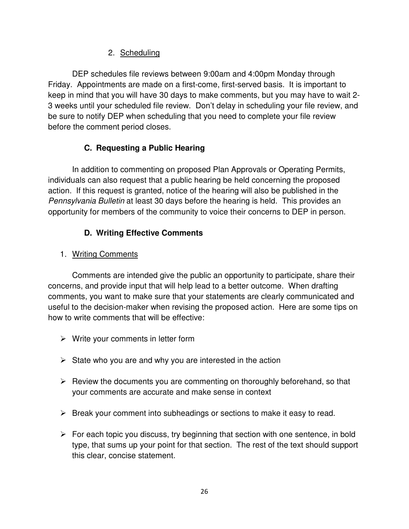#### 2. Scheduling

DEP schedules file reviews between 9:00am and 4:00pm Monday through Friday. Appointments are made on a first-come, first-served basis. It is important to keep in mind that you will have 30 days to make comments, but you may have to wait 2- 3 weeks until your scheduled file review. Don't delay in scheduling your file review, and be sure to notify DEP when scheduling that you need to complete your file review before the comment period closes.

#### **C. Requesting a Public Hearing**

In addition to commenting on proposed Plan Approvals or Operating Permits, individuals can also request that a public hearing be held concerning the proposed action. If this request is granted, notice of the hearing will also be published in the Pennsylvania Bulletin at least 30 days before the hearing is held. This provides an opportunity for members of the community to voice their concerns to DEP in person.

#### **D. Writing Effective Comments**

#### 1. Writing Comments

Comments are intended give the public an opportunity to participate, share their concerns, and provide input that will help lead to a better outcome. When drafting comments, you want to make sure that your statements are clearly communicated and useful to the decision-maker when revising the proposed action. Here are some tips on how to write comments that will be effective:

- > Write your comments in letter form
- > State who you are and why you are interested in the action
- > Review the documents you are commenting on thoroughly beforehand, so that your comments are accurate and make sense in context
- > Break your comment into subheadings or sections to make it easy to read.
- > For each topic you discuss, try beginning that section with one sentence, in bold type, that sums up your point for that section. The rest of the text should support this clear, concise statement.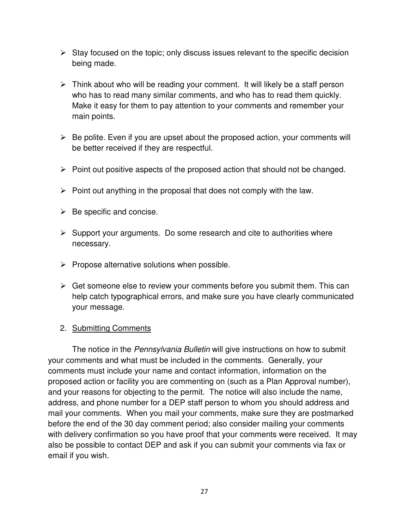- > Stay focused on the topic; only discuss issues relevant to the specific decision being made.
- > Think about who will be reading your comment. It will likely be a staff person who has to read many similar comments, and who has to read them quickly. Make it easy for them to pay attention to your comments and remember your main points.
- > Be polite. Even if you are upset about the proposed action, your comments will be better received if they are respectful.
- > Point out positive aspects of the proposed action that should not be changed.
- > Point out anything in the proposal that does not comply with the law.
- ▶ Be specific and concise.
- > Support your arguments. Do some research and cite to authorities where necessary.
- > Propose alternative solutions when possible.
- > Get someone else to review your comments before you submit them. This can help catch typographical errors, and make sure you have clearly communicated your message.

#### 2. Submitting Comments

The notice in the *Pennsylvania Bulletin* will give instructions on how to submit your comments and what must be included in the comments. Generally, your comments must include your name and contact information, information on the proposed action or facility you are commenting on (such as a Plan Approval number), and your reasons for objecting to the permit. The notice will also include the name, address, and phone number for a DEP staff person to whom you should address and mail your comments. When you mail your comments, make sure they are postmarked before the end of the 30 day comment period; also consider mailing your comments with delivery confirmation so you have proof that your comments were received. It may also be possible to contact DEP and ask if you can submit your comments via fax or email if you wish.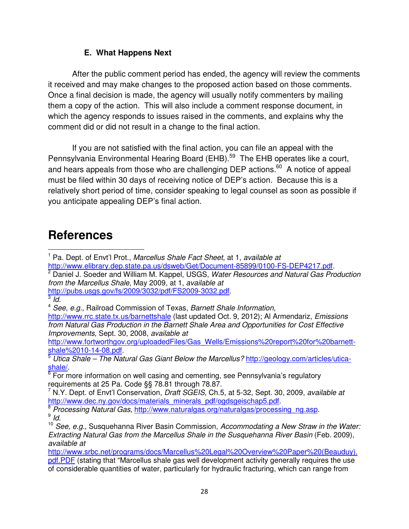#### **E. What Happens Next**

After the public comment period has ended, the agency will review the comments it received and may make changes to the proposed action based on those comments. Once a final decision is made, the agency will usually notify commenters by mailing them a copy of the action. This will also include a comment response document, in which the agency responds to issues raised in the comments, and explains why the comment did or did not result in a change to the final action.

If you are not satisfied with the final action, you can file an appeal with the Pennsylvania Environmental Hearing Board (EHB).<sup>59</sup> The EHB operates like a court, and hears appeals from those who are challenging DEP actions.<sup>60</sup> A notice of appeal must be filed within 30 days of receiving notice of DEP's action. Because this is a relatively short period of time, consider speaking to legal counsel as soon as possible if you anticipate appealing DEP's final action.

### **References**

<sup>2</sup> Daniel J. Soeder and William M. Kappel, USGS, Water Resources and Natural Gas Production from the Marcellus Shale, May 2009, at 1, available at

http://pubs.usgs.gov/fs/2009/3032/pdf/FS2009-3032.pdf.

 $3/d$ .

l

http://www.fortworthgov.org/uploadedFiles/Gas\_Wells/Emissions%20report%20for%20barnettshale%2010-14-08.pdf.

<sup>5</sup> Utica Shale – The Natural Gas Giant Below the Marcellus? http://geology.com/articles/uticashale/.

<sup>6</sup> For more information on well casing and cementing, see Pennsylvania's regulatory requirements at 25 Pa. Code §§ 78.81 through 78.87.

<sup>7</sup> N.Y. Dept. of Envt'l Conservation, Draft SGEIS, Ch.5, at 5-32, Sept. 30, 2009, available at http://www.dec.ny.gov/docs/materials\_minerals\_pdf/ogdsgeischap5.pdf.

8 Processing Natural Gas, http://www.naturalgas.org/naturalgas/processing\_ng.asp.  $^9$  Id.

http://www.srbc.net/programs/docs/Marcellus%20Legal%20Overview%20Paper%20(Beauduy). pdf.PDF (stating that "Marcellus shale gas well development activity generally requires the use of considerable quantities of water, particularly for hydraulic fracturing, which can range from

<sup>&</sup>lt;sup>1</sup> Pa. Dept. of Envt'l Prot., Marcellus Shale Fact Sheet, at 1, available at

http://www.elibrary.dep.state.pa.us/dsweb/Get/Document-85899/0100-FS-DEP4217.pdf.

<sup>&</sup>lt;sup>4</sup> See, e.g., Railroad Commission of Texas, Barnett Shale Information,

http://www.rrc.state.tx.us/barnettshale (last updated Oct. 9, 2012); Al Armendariz, *Emissions* from Natural Gas Production in the Barnett Shale Area and Opportunities for Cost Effective Improvements, Sept. 30, 2008, available at

 $10$  See, e.g., Susquehanna River Basin Commission, Accommodating a New Straw in the Water: Extracting Natural Gas from the Marcellus Shale in the Susquehanna River Basin (Feb. 2009), available at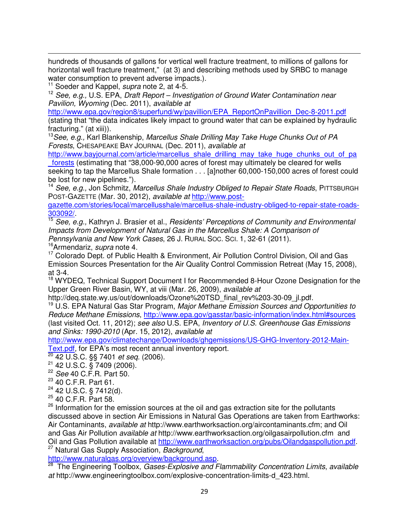hundreds of thousands of gallons for vertical well fracture treatment, to millions of gallons for horizontal well fracture treatment," (at 3) and describing methods used by SRBC to manage water consumption to prevent adverse impacts.).

<sup>11</sup> Soeder and Kappel, *supra* note 2, at 4-5.

l

 $12$  See, e.g., U.S. EPA, Draft Report – Investigation of Ground Water Contamination near Pavilion, Wyoming (Dec. 2011), available at

http://www.epa.gov/region8/superfund/wy/pavillion/EPA\_ReportOnPavillion\_Dec-8-2011.pdf (stating that "the data indicates likely impact to ground water that can be explained by hydraulic fracturing." (at xiii)).

<sup>13</sup>See, e.g., Karl Blankenship, Marcellus Shale Drilling May Take Huge Chunks Out of PA Forests, CHESAPEAKE BAY JOURNAL (Dec. 2011), available at

http://www.bayjournal.com/article/marcellus\_shale\_drilling\_may\_take\_huge\_chunks\_out\_of\_pa \_forests (estimating that "38,000-90,000 acres of forest may ultimately be cleared for wells

seeking to tap the Marcellus Shale formation . . . [a]nother 60,000-150,000 acres of forest could be lost for new pipelines.").

<sup>14</sup> See, e.g., Jon Schmitz, Marcellus Shale Industry Obliged to Repair State Roads, PITTSBURGH POST-GAZETTE (Mar. 30, 2012), available at http://www.post-

gazette.com/stories/local/marcellusshale/marcellus-shale-industry-obliged-to-repair-state-roads-303092/.

<sup>15</sup> See, e.g., Kathryn J. Brasier et al., Residents' Perceptions of Community and Environmental Impacts from Development of Natural Gas in the Marcellus Shale: A Comparison of Pennsylvania and New York Cases, 26 J. RURAL Soc. Sci. 1, 32-61 (2011).

<sup>16</sup>Armendariz, *supra* note 4.

<sup>17</sup> Colorado Dept. of Public Health & Environment, Air Pollution Control Division, Oil and Gas Emission Sources Presentation for the Air Quality Control Commission Retreat (May 15, 2008), at 3-4.

<sup>18</sup> WYDEQ, Technical Support Document I for Recommended 8-Hour Ozone Designation for the Upper Green River Basin, WY, at viii (Mar. 26, 2009), available at

http://deq.state.wy.us/out/downloads/Ozone%20TSD\_final\_rev%203-30-09\_jl.pdf.

<sup>19</sup> U.S. EPA Natural Gas Star Program, Major Methane Emission Sources and Opportunities to Reduce Methane Emissions, http://www.epa.gov/gasstar/basic-information/index.html#sources (last visited Oct. 11, 2012); see also U.S. EPA, Inventory of U.S. Greenhouse Gas Emissions and Sinks: 1990-2010 (Apr. 15, 2012), available at

http://www.epa.gov/climatechange/Downloads/ghgemissions/US-GHG-Inventory-2012-Main-Text.pdf, for EPA's most recent annual inventory report.

 $\frac{100 \text{ mJ}}{20}$  42 U.S.C. §§ 7401 *et seq.* (2006).

<sup>21</sup> 42 U.S.C. § 7409 (2006).

<sup>22</sup> See 40 C.F.R. Part 50.

<sup>23</sup> 40 C.F.R. Part 61.

 $24$  42 U.S.C. § 7412(d).

<sup>25</sup> 40 C.F.R. Part 58.

<sup>26</sup> Information for the emission sources at the oil and gas extraction site for the pollutants discussed above in section Air Emissions in Natural Gas Operations are taken from Earthworks: Air Contaminants, available at http://www.earthworksaction.org/aircontaminants.cfm; and Oil and Gas Air Pollution *available at* http://www.earthworksaction.org/oilgasairpollution.cfm and Oil and Gas Pollution available at http://www.earthworksaction.org/pubs/Oilandgaspollution.pdf. <sup>27</sup> Natural Gas Supply Association, Background,

http://www.naturalgas.org/overview/background.asp.

<sup>28</sup> The Engineering Toolbox, Gases-Explosive and Flammability Concentration Limits, available at http://www.engineeringtoolbox.com/explosive-concentration-limits-d\_423.html.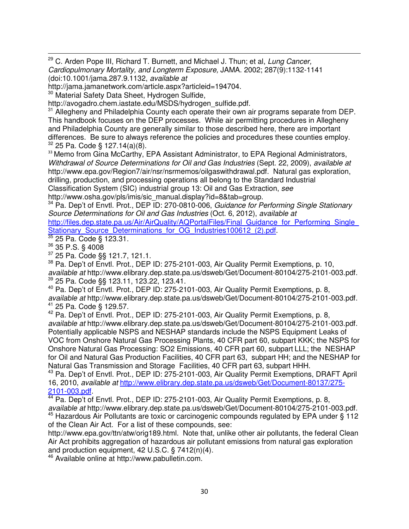<sup>29</sup> C. Arden Pope III, Richard T. Burnett, and Michael J. Thun; et al, Lung Cancer, Cardiopulmonary Mortality, and Longterm Exposure, JAMA. 2002; 287(9):1132-1141 (doi:10.1001/jama.287.9.1132, available at

http://jama.jamanetwork.com/article.aspx?articleid=194704.

<sup>30</sup> Material Safety Data Sheet, Hydrogen Sulfide,

http://avogadro.chem.iastate.edu/MSDS/hydrogen\_sulfide.pdf.

<sup>31</sup> Allegheny and Philadelphia County each operate their own air programs separate from DEP. This handbook focuses on the DEP processes. While air permitting procedures in Allegheny and Philadelphia County are generally similar to those described here, there are important differences. Be sure to always reference the policies and procedures these counties employ.  $32$  25 Pa. Code § 127.14(a)(8).

<sup>33</sup> Memo from Gina McCarthy, EPA Assistant Administrator, to EPA Regional Administrators, Withdrawal of Source Determinations for Oil and Gas Industries (Sept. 22, 2009), available at http://www.epa.gov/Region7/air/nsr/nsrmemos/oilgaswithdrawal.pdf. Natural gas exploration, drilling, production, and processing operations all belong to the Standard Industrial Classification System (SIC) industrial group 13: Oil and Gas Extraction, see http://www.osha.gov/pls/imis/sic\_manual.display?id=8&tab=group.

<sup>34</sup> Pa. Dep't of Envtl. Prot., DEP ID: 270-0810-006, Guidance for Performing Single Stationary Source Determinations for Oil and Gas Industries (Oct. 6, 2012), available at http://files.dep.state.pa.us/Air/AirQuality/AQPortalFiles/Final\_Guidance\_for\_Performing\_Single Stationary\_Source\_Determinations\_for\_OG\_Industries100612\_(2).pdf.

<sup>35</sup> 25 Pa. Code § 123.31.

<sup>36</sup> 35 P.S. § 4008

l

<sup>37</sup> 25 Pa. Code §§ 121.7, 121.1.

<sup>38</sup> Pa. Dep't of Envtl. Prot., DEP ID: 275-2101-003, Air Quality Permit Exemptions, p. 10, available at http://www.elibrary.dep.state.pa.us/dsweb/Get/Document-80104/275-2101-003.pdf. <sup>39</sup> 25 Pa. Code §§ 123.11, 123.22, 123.41.

<sup>40</sup> Pa. Dep't of Envtl. Prot., DEP ID: 275-2101-003, Air Quality Permit Exemptions, p. 8, available at http://www.elibrary.dep.state.pa.us/dsweb/Get/Document-80104/275-2101-003.pdf. <sup>41</sup> 25 Pa. Code § 129.57.

 $42$  Pa. Dep't of Envtl. Prot., DEP ID: 275-2101-003, Air Quality Permit Exemptions, p. 8, available at http://www.elibrary.dep.state.pa.us/dsweb/Get/Document-80104/275-2101-003.pdf. Potentially applicable NSPS and NESHAP standards include the NSPS Equipment Leaks of VOC from Onshore Natural Gas Processing Plants, 40 CFR part 60, subpart KKK; the NSPS for Onshore Natural Gas Processing: SO2 Emissions, 40 CFR part 60, subpart LLL; the NESHAP for Oil and Natural Gas Production Facilities, 40 CFR part 63, subpart HH; and the NESHAP for Natural Gas Transmission and Storage Facilities, 40 CFR part 63, subpart HHH.

<sup>43</sup> Pa. Dep't of Envtl. Prot., DEP ID: 275-2101-003, Air Quality Permit Exemptions, DRAFT April 16, 2010, available at http://www.elibrary.dep.state.pa.us/dsweb/Get/Document-80137/275- 2101-003.pdf.

<sup>44</sup> Pa. Dep't of Envtl. Prot., DEP ID: 275-2101-003, Air Quality Permit Exemptions, p. 8, available at http://www.elibrary.dep.state.pa.us/dsweb/Get/Document-80104/275-2101-003.pdf.  $45$  Hazardous Air Pollutants are toxic or carcinogenic compounds regulated by EPA under § 112 of the Clean Air Act. For a list of these compounds, see:

http://www.epa.gov/ttn/atw/orig189.html. Note that, unlike other air pollutants, the federal Clean Air Act prohibits aggregation of hazardous air pollutant emissions from natural gas exploration and production equipment, 42 U.S.C. § 7412(n)(4).

<sup>46</sup> Available online at http://www.pabulletin.com.